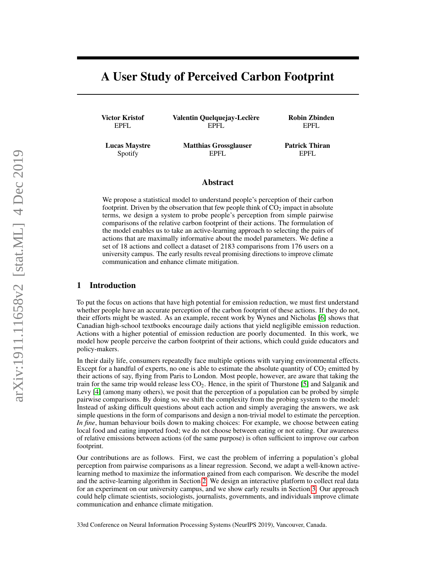# A User Study of Perceived Carbon Footprint

Victor Kristof EPFL

Valentin Quelquejay-Leclère EPFL

Robin Zbinden EPFL

Lucas Maystre Spotify

Matthias Grossglauser EPFL

Patrick Thiran EPFL

# Abstract

We propose a statistical model to understand people's perception of their carbon footprint. Driven by the observation that few people think of  $CO<sub>2</sub>$  impact in absolute terms, we design a system to probe people's perception from simple pairwise comparisons of the relative carbon footprint of their actions. The formulation of the model enables us to take an active-learning approach to selecting the pairs of actions that are maximally informative about the model parameters. We define a set of 18 actions and collect a dataset of 2183 comparisons from 176 users on a university campus. The early results reveal promising directions to improve climate communication and enhance climate mitigation.

# 1 Introduction

To put the focus on actions that have high potential for emission reduction, we must first understand whether people have an accurate perception of the carbon footprint of these actions. If they do not, their efforts might be wasted. As an example, recent work by Wynes and Nicholas [\[6\]](#page-3-0) shows that Canadian high-school textbooks encourage daily actions that yield negligible emission reduction. Actions with a higher potential of emission reduction are poorly documented. In this work, we model how people perceive the carbon footprint of their actions, which could guide educators and policy-makers.

In their daily life, consumers repeatedly face multiple options with varying environmental effects. Except for a handful of experts, no one is able to estimate the absolute quantity of  $CO<sub>2</sub>$  emitted by their actions of say, flying from Paris to London. Most people, however, are aware that taking the train for the same trip would release less CO2. Hence, in the spirit of Thurstone [\[5\]](#page-3-1) and Salganik and Levy [\[4\]](#page-3-2) (among many others), we posit that the perception of a population can be probed by simple pairwise comparisons. By doing so, we shift the complexity from the probing system to the model: Instead of asking difficult questions about each action and simply averaging the answers, we ask simple questions in the form of comparisons and design a non-trivial model to estimate the perception. *In fine*, human behaviour boils down to making choices: For example, we choose between eating local food and eating imported food; we do not choose between eating or not eating. Our awareness of relative emissions between actions (of the same purpose) is often sufficient to improve our carbon footprint.

Our contributions are as follows. First, we cast the problem of inferring a population's global perception from pairwise comparisons as a linear regression. Second, we adapt a well-known activelearning method to maximize the information gained from each comparison. We describe the model and the active-learning algorithm in Section [2.](#page-1-0) We design an interactive platform to collect real data for an experiment on our university campus, and we show early results in Section [3.](#page-2-0) Our approach could help climate scientists, sociologists, journalists, governments, and individuals improve climate communication and enhance climate mitigation.

33rd Conference on Neural Information Processing Systems (NeurIPS 2019), Vancouver, Canada.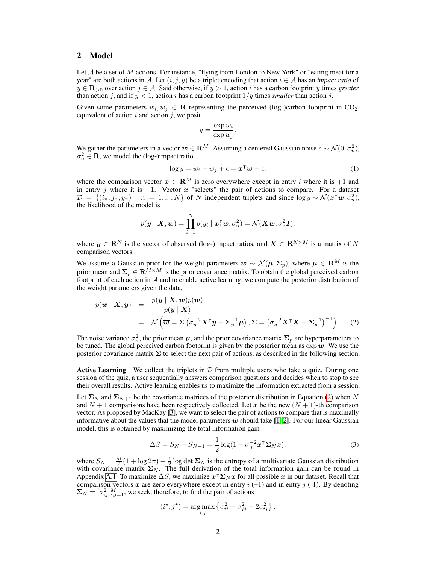# <span id="page-1-0"></span>2 Model

Let  $A$  be a set of  $M$  actions. For instance, "flying from London to New York" or "eating meat for a year" are both actions in A. Let  $(i, j, y)$  be a triplet encoding that action  $i \in A$  has an *impact ratio* of  $y \in \mathbf{R}_{>0}$  over action  $j \in \mathcal{A}$ . Said otherwise, if  $y > 1$ , action i has a carbon footprint y times *greater* than action j, and if  $y < 1$ , action i has a carbon footprint  $1/y$  times *smaller* than action j.

Given some parameters  $w_i, w_j \in \mathbf{R}$  representing the perceived (log-)carbon footprint in CO<sub>2</sub>equivalent of action  $i$  and action  $j$ , we posit

$$
y = \frac{\exp w_i}{\exp w_j}.
$$

We gather the parameters in a vector  $w \in \mathbb{R}^M$ . Assuming a centered Gaussian noise  $\epsilon \sim \mathcal{N}(0, \sigma_n^2)$ ,  $\sigma_n^2 \in \mathbf{R}$ , we model the (log-)impact ratio

$$
\log y = w_i - w_j + \epsilon = \boldsymbol{x}^\mathsf{T} \boldsymbol{w} + \epsilon,\tag{1}
$$

where the comparison vector  $x \in \mathbb{R}^M$  is zero everywhere except in entry i where it is +1 and in entry j where it is  $-1$ . Vector x "selects" the pair of actions to compare. For a dataset  $\mathcal{D} = \{ (i_n, j_n, y_n) : n = 1, ..., N \}$  of N independent triplets and since  $\log y \sim \mathcal{N}(x^{\mathsf{T}} w, \sigma_n^2)$ , the likelihood of the model is

$$
p(\boldsymbol{y} \mid \boldsymbol{X}, \boldsymbol{w}) = \prod_{i=1}^N p(y_i \mid \boldsymbol{x}_i^{\mathsf{T}} \boldsymbol{w}, \sigma_n^2) = \mathcal{N}(\boldsymbol{X}\boldsymbol{w}, \sigma_n^2 \boldsymbol{I}),
$$

where  $y \in \mathbb{R}^N$  is the vector of observed (log-)impact ratios, and  $X \in \mathbb{R}^{N \times M}$  is a matrix of N comparison vectors.

We assume a Gaussian prior for the weight parameters  $w \sim \mathcal{N}(\mu, \Sigma_p)$ , where  $\mu \in \mathbb{R}^M$  is the prior mean and  $\Sigma_p \in \mathbf{R}^{M \times M}$  is the prior covariance matrix. To obtain the global perceived carbon footprint of each action in  $A$  and to enable active learning, we compute the posterior distribution of the weight parameters given the data,

<span id="page-1-1"></span>
$$
p(\mathbf{w} \mid \mathbf{X}, \mathbf{y}) = \frac{p(\mathbf{y} \mid \mathbf{X}, \mathbf{w})p(\mathbf{w})}{p(\mathbf{y} \mid \mathbf{X})}
$$
  
=  $\mathcal{N} \left( \overline{\mathbf{w}} = \Sigma \left( \sigma_n^{-2} \mathbf{X}^{\mathsf{T}} \mathbf{y} + \Sigma_p^{-1} \boldsymbol{\mu} \right), \Sigma = \left( \sigma_n^{-2} \mathbf{X}^{\mathsf{T}} \mathbf{X} + \Sigma_p^{-1} \right)^{-1} \right).$  (2)

The noise variance  $\sigma_n^2$ , the prior mean  $\mu$ , and the prior covariance matrix  $\Sigma_p$  are hyperparameters to be tuned. The global perceived carbon footprint is given by the posterior mean as  $\exp \overline{\boldsymbol{w}}$ . We use the posterior covariance matrix  $\Sigma$  to select the next pair of actions, as described in the following section.

**Active Learning** We collect the triplets in  $\mathcal{D}$  from multiple users who take a quiz. During one session of the quiz, a user sequentially answers comparison questions and decides when to stop to see their overall results. Active learning enables us to maximize the information extracted from a session.

Let  $\Sigma_N$  and  $\Sigma_{N+1}$  be the covariance matrices of the posterior distribution in Equation [\(2\)](#page-1-1) when N and  $N + 1$  comparisons have been respectively collected. Let x be the new  $(N + 1)$ -th comparison vector. As proposed by MacKay [\[3\]](#page-3-3), we want to select the pair of actions to compare that is maximally informative about the values that the model parameters w should take [\[1,](#page-3-4) [2\]](#page-3-5). For our linear Gaussian model, this is obtained by maximizing the total information gain

$$
\Delta S = S_N - S_{N+1} = \frac{1}{2} \log(1 + \sigma_n^{-2} \mathbf{x}^\mathsf{T} \mathbf{\Sigma}_N \mathbf{x}),\tag{3}
$$

where  $S_N = \frac{M}{2}(1 + \log 2\pi) + \frac{1}{2}\log \det \Sigma_N$  is the entropy of a multivariate Gaussian distribution with covariance matrix  $\Sigma_N$ . The full derivation of the total information gain can be found in Appendix [A.1.](#page-4-0) To maximize  $\Delta S$ , we maximize  $x^{\intercal} \Sigma_N x$  for all possible x in our dataset. Recall that comparison vectors x are zero everywhere except in entry  $i$  (+1) and in entry  $j$  (-1). By denoting  $\Sigma_N = [\sigma_{ij}^2]_{i,j=1}^M$ , we seek, therefore, to find the pair of actions

$$
(i^{\star}, j^{\star}) = \underset{i,j}{\arg \max} \left\{ \sigma_{ii}^2 + \sigma_{jj}^2 - 2\sigma_{ij}^2 \right\}.
$$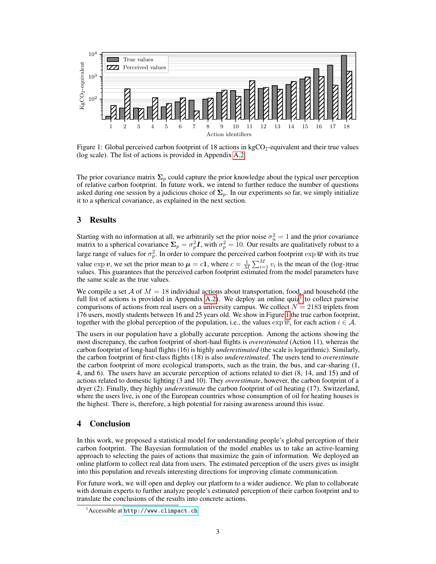

<span id="page-2-2"></span>Figure 1: Global perceived carbon footprint of 18 actions in  $kgCO<sub>2</sub>$ -equivalent and their true values (log scale). The list of actions is provided in Appendix [A.2.](#page-4-1)

The prior covariance matrix  $\Sigma_p$  could capture the prior knowledge about the typical user perception of relative carbon footprint. In future work, we intend to further reduce the number of questions asked during one session by a judicious choice of  $\Sigma_p$ . In our experiments so far, we simply initialize it to a spherical covariance, as explained in the next section.

# <span id="page-2-0"></span>3 Results

Starting with no information at all, we arbitrarily set the prior noise  $\sigma_n^2 = 1$  and the prior covariance matrix to a spherical covariance  $\Sigma_p = \sigma_p^2 I$ , with  $\sigma_p^2 = 10$ . Our results are qualitatively robust to a large range of values for  $\sigma_p^2$ . In order to compare the perceived carbon footprint  $\exp \overline{w}$  with its true value  $\exp v$ , we set the prior mean to  $\mu = c1$ , where  $c = \frac{1}{M} \sum_{i=1}^{M} v_i$  is the mean of the (log-)true values. This guarantees that the perceived carbon footprint estimated from the model parameters have the same scale as the true values.

We compile a set A of  $M = 18$  individual actions about transportation, food, and household (the full list of actions is provided in Appendix [A.2\)](#page-4-1). We deploy an online quiz<sup>[1](#page-2-1)</sup> to collect pairwise comparisons of actions from real users on a university campus. We collect  $N = 2183$  triplets from 176 users, mostly students between 16 and 25 years old. We show in Figure [1](#page-2-2) the true carbon footprint, together with the global perception of the population, i.e., the values  $\exp \overline{w_i}$  for each action  $i \in \mathcal{A}$ .

The users in our population have a globally accurate perception. Among the actions showing the most discrepancy, the carbon footprint of short-haul flights is *overestimated* (Action 11), whereas the carbon footprint of long-haul flights (16) is highly *underestimated* (the scale is logarithmic). Similarly, the carbon footprint of first-class flights (18) is also *underestimated*. The users tend to *overestimate* the carbon footprint of more ecological transports, such as the train, the bus, and car-sharing (1, 4, and 6). The users have an accurate perception of actions related to diet (8, 14, and 15) and of actions related to domestic lighting (3 and 10). They *overestimate*, however, the carbon footprint of a dryer (2). Finally, they highly *underestimate* the carbon footprint of oil heating (17). Switzerland, where the users live, is one of the European countries whose consumption of oil for heating houses is the highest. There is, therefore, a high potential for raising awareness around this issue.

# 4 Conclusion

In this work, we proposed a statistical model for understanding people's global perception of their carbon footprint. The Bayesian formulation of the model enables us to take an active-learning approach to selecting the pairs of actions that maximize the gain of information. We deployed an online platform to collect real data from users. The estimated perception of the users gives us insight into this population and reveals interesting directions for improving climate communication.

For future work, we will open and deploy our platform to a wider audience. We plan to collaborate with domain experts to further analyze people's estimated perception of their carbon footprint and to translate the conclusions of the results into concrete actions.

<span id="page-2-1"></span><sup>&</sup>lt;sup>1</sup> Accessible at <http://www.climpact.ch>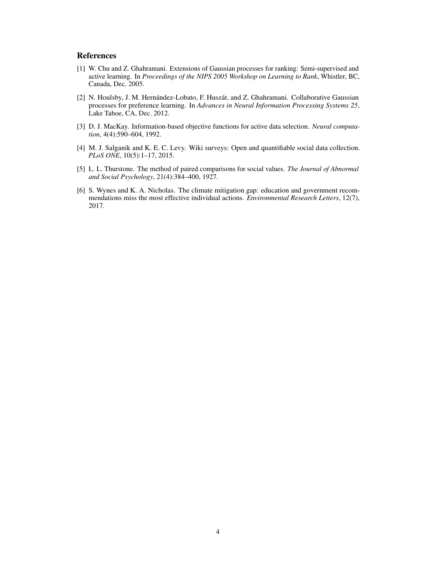# References

- <span id="page-3-4"></span>[1] W. Chu and Z. Ghahramani. Extensions of Gaussian processes for ranking: Semi-supervised and active learning. In *Proceedings of the NIPS 2005 Workshop on Learning to Rank*, Whistler, BC, Canada, Dec. 2005.
- <span id="page-3-5"></span>[2] N. Houlsby, J. M. Hernández-Lobato, F. Huszár, and Z. Ghahramani. Collaborative Gaussian processes for preference learning. In *Advances in Neural Information Processing Systems 25*, Lake Tahoe, CA, Dec. 2012.
- <span id="page-3-3"></span>[3] D. J. MacKay. Information-based objective functions for active data selection. *Neural computation*, 4(4):590–604, 1992.
- <span id="page-3-2"></span>[4] M. J. Salganik and K. E. C. Levy. Wiki surveys: Open and quantifiable social data collection. *PLoS ONE*, 10(5):1–17, 2015.
- <span id="page-3-1"></span>[5] L. L. Thurstone. The method of paired comparisons for social values. *The Journal of Abnormal and Social Psychology*, 21(4):384–400, 1927.
- <span id="page-3-0"></span>[6] S. Wynes and K. A. Nicholas. The climate mitigation gap: education and government recommendations miss the most effective individual actions. *Environmental Research Letters*, 12(7), 2017.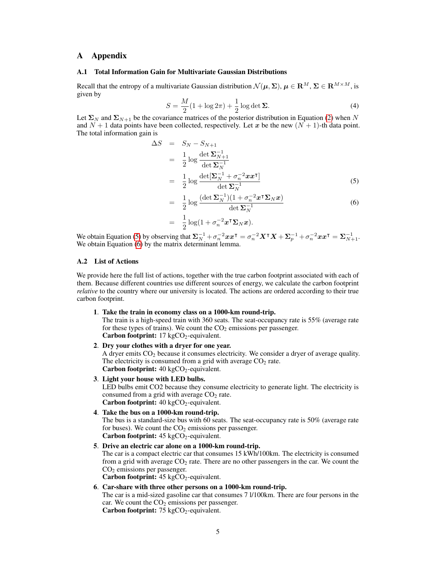# A Appendix

#### <span id="page-4-0"></span>A.1 Total Information Gain for Multivariate Gaussian Distributions

Recall that the entropy of a multivariate Gaussian distribution  $\mathcal{N}(\mu, \Sigma)$ ,  $\mu \in \mathbb{R}^M$ ,  $\Sigma \in \mathbb{R}^{M \times M}$ , is given by

$$
S = \frac{M}{2}(1 + \log 2\pi) + \frac{1}{2}\log \det \Sigma.
$$
 (4)

Let  $\Sigma_N$  and  $\Sigma_{N+1}$  be the covariance matrices of the posterior distribution in Equation [\(2\)](#page-1-1) when N and  $N + 1$  data points have been collected, respectively. Let x be the new  $(N + 1)$ -th data point. The total information gain is

<span id="page-4-2"></span>
$$
\Delta S = S_N - S_{N+1}
$$
\n
$$
= \frac{1}{2} \log \frac{\det \Sigma_{N+1}^{-1}}{\det \Sigma_N^{-1}}
$$
\n
$$
= \frac{1}{2} \log \frac{\det[\Sigma_N^{-1} + \sigma_n^{-2} x x^\mathsf{T}]}{\det \Sigma_N^{-1}}
$$
\n(5)

$$
= \frac{1}{2} \log \frac{(\det \Sigma_N^{-1})(1 + \sigma_n^{-2} x^{\mathsf{T}} \Sigma_N x)}{\det \Sigma_N^{-1}} \tag{6}
$$

$$
= \frac{1}{2}\log(1+\sigma_n^{-2}x^{\intercal}\mathbf{\Sigma}_N x).
$$

We obtain Equation [\(5\)](#page-4-2) by observing that  $\Sigma_N^{-1} + \sigma_n^{-2} x x^\intercal = \sigma_n^{-2} X^\intercal X + \Sigma_p^{-1} + \sigma_n^{-2} x x^\intercal = \Sigma_{N+1}^{-1}$ . We obtain Equation [\(6\)](#page-4-2) by the matrix determinant lemma.

## <span id="page-4-1"></span>A.2 List of Actions

We provide here the full list of actions, together with the true carbon footprint associated with each of them. Because different countries use different sources of energy, we calculate the carbon footprint *relative* to the country where our university is located. The actions are ordered according to their true carbon footprint.

#### 1. Take the train in economy class on a 1000-km round-trip.

The train is a high-speed train with 360 seats. The seat-occupancy rate is 55% (average rate for these types of trains). We count the  $CO<sub>2</sub>$  emissions per passenger. Carbon footprint:  $17 \text{ kgCO}_2$ -equivalent.

## 2. Dry your clothes with a dryer for one year.

A dryer emits  $CO<sub>2</sub>$  because it consumes electricity. We consider a dryer of average quality. The electricity is consumed from a grid with average  $CO<sub>2</sub>$  rate. Carbon footprint:  $40 \text{ kgCO}_2$ -equivalent.

## 3. Light your house with LED bulbs.

LED bulbs emit CO2 because they consume electricity to generate light. The electricity is consumed from a grid with average  $CO<sub>2</sub>$  rate. Carbon footprint:  $40 \text{ kgCO}_2$ -equivalent.

4. Take the bus on a 1000-km round-trip.

The bus is a standard-size bus with 60 seats. The seat-occupancy rate is 50% (average rate for buses). We count the  $CO<sub>2</sub>$  emissions per passenger. Carbon footprint:  $45 \text{ kgCO}_2$ -equivalent.

5. Drive an electric car alone on a 1000-km round-trip.

The car is a compact electric car that consumes 15 kWh/100km. The electricity is consumed from a grid with average  $CO<sub>2</sub>$  rate. There are no other passengers in the car. We count the CO<sub>2</sub> emissions per passenger.

Carbon footprint:  $45 \text{ kgCO}_2$ -equivalent.

6. Car-share with three other persons on a 1000-km round-trip.

The car is a mid-sized gasoline car that consumes 7 l/100km. There are four persons in the car. We count the  $CO<sub>2</sub>$  emissions per passenger. Carbon footprint:  $75 \text{ kgCO}_2$ -equivalent.